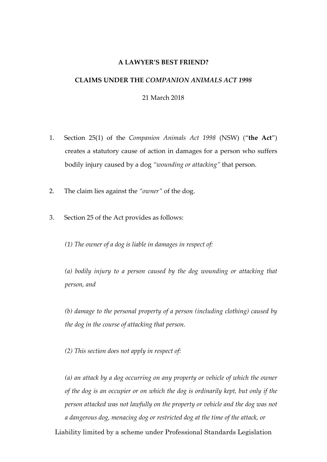#### **A LAWYER'S BEST FRIEND?**

# **CLAIMS UNDER THE** *COMPANION ANIMALS ACT 1998*

21 March 2018

- 1. Section 25(1) of the *Companion Animals Act 1998* (NSW) ("**the Act**") creates a statutory cause of action in damages for a person who suffers bodily injury caused by a dog *"wounding or attacking"* that person.
- 2. The claim lies against the *"owner"* of the dog.
- 3. Section 25 of the Act provides as follows:

*(1) The owner of a dog is liable in damages in respect of:*

*(a) bodily injury to a person caused by the dog wounding or attacking that person, and*

*(b) damage to the personal property of a person (including clothing) caused by the dog in the course of attacking that person.*

*(2) This section does not apply in respect of:*

*(a) an attack by a dog occurring on any property or vehicle of which the owner of the dog is an occupier or on which the dog is ordinarily kept, but only if the person attacked was not lawfully on the property or vehicle and the dog was not a dangerous dog, menacing dog or restricted dog at the time of the attack, or*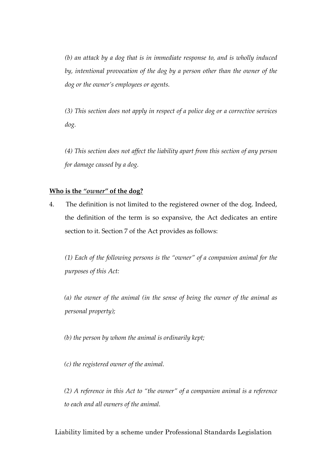*(b) an attack by a dog that is in immediate response to, and is wholly induced by, intentional provocation of the dog by a person other than the owner of the dog or the owner's employees or agents.*

*(3) This section does not apply in respect of a police dog or a corrective services dog.*

*(4) This section does not affect the liability apart from this section of any person for damage caused by a dog.*

### **Who is the** *"owner"* **of the dog?**

4. The definition is not limited to the registered owner of the dog. Indeed, the definition of the term is so expansive, the Act dedicates an entire section to it. Section 7 of the Act provides as follows:

*(1) Each of the following persons is the "owner" of a companion animal for the purposes of this Act:*

*(a) the owner of the animal (in the sense of being the owner of the animal as personal property);*

*(b) the person by whom the animal is ordinarily kept;*

*(c) the registered owner of the animal.*

*(2) A reference in this Act to "the owner" of a companion animal is a reference to each and all owners of the animal.*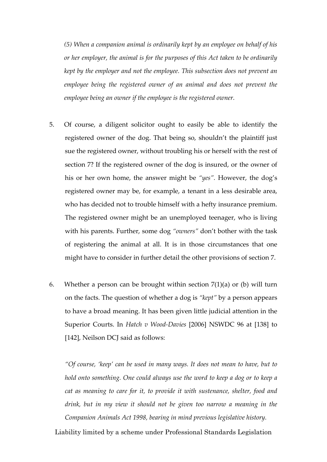*(5) When a companion animal is ordinarily kept by an employee on behalf of his or her employer, the animal is for the purposes of this Act taken to be ordinarily kept by the employer and not the employee. This subsection does not prevent an employee being the registered owner of an animal and does not prevent the employee being an owner if the employee is the registered owner.*

- 5. Of course, a diligent solicitor ought to easily be able to identify the registered owner of the dog. That being so, shouldn't the plaintiff just sue the registered owner, without troubling his or herself with the rest of section 7? If the registered owner of the dog is insured, or the owner of his or her own home, the answer might be *"yes".* However, the dog's registered owner may be, for example, a tenant in a less desirable area, who has decided not to trouble himself with a hefty insurance premium. The registered owner might be an unemployed teenager, who is living with his parents. Further, some dog *"owners"* don't bother with the task of registering the animal at all. It is in those circumstances that one might have to consider in further detail the other provisions of section 7.
- 6. Whether a person can be brought within section  $7(1)(a)$  or (b) will turn on the facts. The question of whether a dog is *"kept"* by a person appears to have a broad meaning. It has been given little judicial attention in the Superior Courts. In *Hatch v Wood-Davies* [2006] NSWDC 96 at [138] to [142], Neilson DCJ said as follows:

*"Of course, 'keep' can be used in many ways. It does not mean to have, but to hold onto something. One could always use the word to keep a dog or to keep a cat as meaning to care for it, to provide it with sustenance, shelter, food and drink, but in my view it should not be given too narrow a meaning in the Companion Animals Act 1998, bearing in mind previous legislative history.*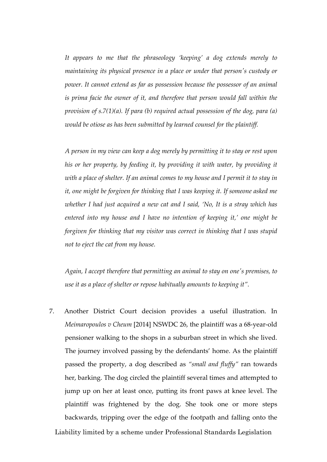*It appears to me that the phraseology 'keeping' a dog extends merely to maintaining its physical presence in a place or under that person's custody or power. It cannot extend as far as possession because the possessor of an animal is prima facie the owner of it, and therefore that person would fall within the provision of s.7(1)(a). If para (b) required actual possession of the dog, para (a) would be otiose as has been submitted by learned counsel for the plaintiff.*

*A person in my view can keep a dog merely by permitting it to stay or rest upon his or her property, by feeding it, by providing it with water, by providing it with a place of shelter. If an animal comes to my house and I permit it to stay in it, one might be forgiven for thinking that I was keeping it. If someone asked me whether I had just acquired a new cat and I said, 'No, It is a stray which has entered into my house and I have no intention of keeping it,' one might be forgiven for thinking that my visitor was correct in thinking that I was stupid not to eject the cat from my house.*

*Again, I accept therefore that permitting an animal to stay on one's premises, to use it as a place of shelter or repose habitually amounts to keeping it".*

7. Another District Court decision provides a useful illustration. In *Meimaropoulos v Cheum* [2014] NSWDC 26, the plaintiff was a 68-year-old pensioner walking to the shops in a suburban street in which she lived. The journey involved passing by the defendants' home. As the plaintiff passed the property, a dog described as *"small and fluffy"* ran towards her, barking. The dog circled the plaintiff several times and attempted to jump up on her at least once, putting its front paws at knee level. The plaintiff was frightened by the dog. She took one or more steps backwards, tripping over the edge of the footpath and falling onto the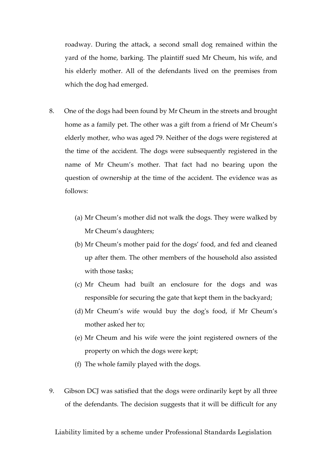roadway. During the attack, a second small dog remained within the yard of the home, barking. The plaintiff sued Mr Cheum, his wife, and his elderly mother. All of the defendants lived on the premises from which the dog had emerged.

- 8. One of the dogs had been found by Mr Cheum in the streets and brought home as a family pet. The other was a gift from a friend of Mr Cheum's elderly mother, who was aged 79. Neither of the dogs were registered at the time of the accident. The dogs were subsequently registered in the name of Mr Cheum's mother. That fact had no bearing upon the question of ownership at the time of the accident. The evidence was as follows:
	- (a) Mr Cheum's mother did not walk the dogs. They were walked by Mr Cheum's daughters;
	- (b) Mr Cheum's mother paid for the dogs' food, and fed and cleaned up after them. The other members of the household also assisted with those tasks;
	- (c) Mr Cheum had built an enclosure for the dogs and was responsible for securing the gate that kept them in the backyard;
	- (d) Mr Cheum's wife would buy the dog's food, if Mr Cheum's mother asked her to;
	- (e) Mr Cheum and his wife were the joint registered owners of the property on which the dogs were kept;
	- (f) The whole family played with the dogs.
- 9. Gibson DCJ was satisfied that the dogs were ordinarily kept by all three of the defendants. The decision suggests that it will be difficult for any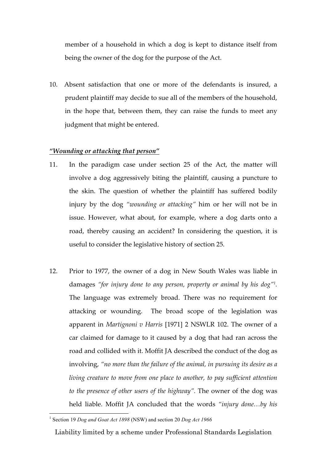member of a household in which a dog is kept to distance itself from being the owner of the dog for the purpose of the Act.

10. Absent satisfaction that one or more of the defendants is insured, a prudent plaintiff may decide to sue all of the members of the household, in the hope that, between them, they can raise the funds to meet any judgment that might be entered.

### *"Wounding or attacking that person"*

- 11. In the paradigm case under section 25 of the Act, the matter will involve a dog aggressively biting the plaintiff, causing a puncture to the skin. The question of whether the plaintiff has suffered bodily injury by the dog *"wounding or attacking"* him or her will not be in issue. However, what about, for example, where a dog darts onto a road, thereby causing an accident? In considering the question, it is useful to consider the legislative history of section 25.
- 12. Prior to 1977, the owner of a dog in New South Wales was liable in damages *"for injury done to any person, property or animal by his dog"1 .* The language was extremely broad. There was no requirement for attacking or wounding. The broad scope of the legislation was apparent in *Martignoni v Harris* [1971] 2 NSWLR 102. The owner of a car claimed for damage to it caused by a dog that had ran across the road and collided with it. Moffit JA described the conduct of the dog as involving, *"no more than the failure of the animal, in pursuing its desire as a living creature to move from one place to another, to pay sufficient attention to the presence of other users of the highway".* The owner of the dog was held liable. Moffit JA concluded that the words *"injury done…by his*

 <sup>1</sup> Section 19 *Dog and Goat Act 1898* (NSW) and section 20 *Dog Act 1966*

Liability limited by a scheme under Professional Standards Legislation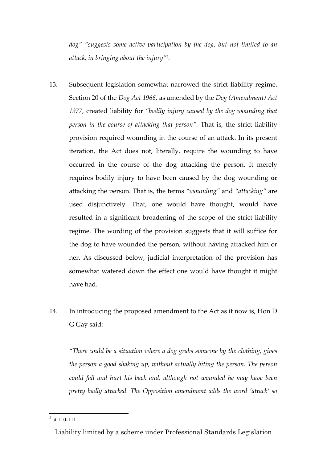*dog" "suggests some active participation by the dog, but not limited to an attack, in bringing about the injury"2 .*

- 13. Subsequent legislation somewhat narrowed the strict liability regime. Section 20 of the *Dog Act 1966*, as amended by the *Dog (Amendment) Act 1977,* created liability for *"bodily injury caused by the dog wounding that person in the course of attacking that person".* That is, the strict liability provision required wounding in the course of an attack. In its present iteration, the Act does not, literally, require the wounding to have occurred in the course of the dog attacking the person. It merely requires bodily injury to have been caused by the dog wounding **or** attacking the person. That is, the terms *"wounding"* and *"attacking"* are used disjunctively. That, one would have thought, would have resulted in a significant broadening of the scope of the strict liability regime. The wording of the provision suggests that it will suffice for the dog to have wounded the person, without having attacked him or her. As discussed below, judicial interpretation of the provision has somewhat watered down the effect one would have thought it might have had.
- 14. In introducing the proposed amendment to the Act as it now is, Hon D G Gay said:

*"There could be a situation where a dog grabs someone by the clothing, gives the person a good shaking up, without actually biting the person. The person could fall and hurt his back and, although not wounded he may have been pretty badly attacked. The Opposition amendment adds the word 'attack' so* 

 $2$  at 110-111

Liability limited by a scheme under Professional Standards Legislation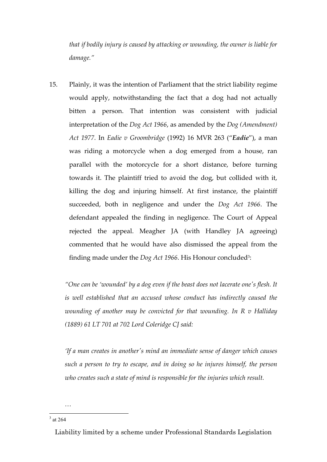*that if bodily injury is caused by attacking or wounding, the owner is liable for damage."*

15. Plainly, it was the intention of Parliament that the strict liability regime would apply, notwithstanding the fact that a dog had not actually bitten a person. That intention was consistent with judicial interpretation of the *Dog Act 1966*, as amended by the *Dog (Amendment) Act 1977.* In *Eadie v Groombridge* (1992) 16 MVR 263 ("*Eadie*"), a man was riding a motorcycle when a dog emerged from a house, ran parallel with the motorcycle for a short distance, before turning towards it. The plaintiff tried to avoid the dog, but collided with it, killing the dog and injuring himself. At first instance, the plaintiff succeeded, both in negligence and under the *Dog Act 1966*. The defendant appealed the finding in negligence. The Court of Appeal rejected the appeal. Meagher JA (with Handley JA agreeing) commented that he would have also dismissed the appeal from the finding made under the *Dog Act 1966*. His Honour concluded<sup>3</sup>:

*"One can be 'wounded' by a dog even if the beast does not lacerate one's flesh. It is well established that an accused whose conduct has indirectly caused the wounding of another may be convicted for that wounding. In R v Halliday (1889) 61 LT 701 at 702 Lord Coleridge CJ said:*

*'If a man creates in another's mind an immediate sense of danger which causes such a person to try to escape, and in doing so he injures himself, the person who creates such a state of mind is responsible for the injuries which result.*

 $3$  at 264

*…*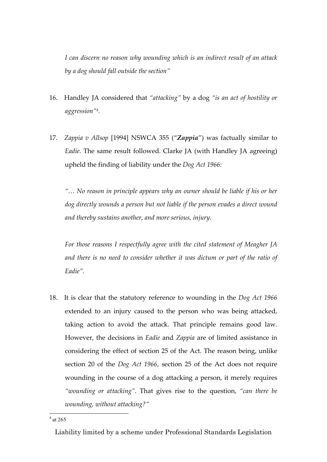*I can discern no reason why wounding which is an indirect result of an attack by a dog should fall outside the section"*

- 16. Handley JA considered that *"attacking"* by a dog *"is an act of hostility or aggression"4 .*
- 17. *Zappia v Allsop* [1994] NSWCA 355 ("*Zappia*") was factually similar to *Eadie.* The same result followed*.* Clarke JA (with Handley JA agreeing) upheld the finding of liability under the *Dog Act 1966*:

*"… No reason in principle appears why an owner should be liable if his or her dog directly wounds a person but not liable if the person evades a direct wound and thereby sustains another, and more serious, injury.*

*For those reasons I respectfully agree with the cited statement of Meagher JA*  and there is no need to consider whether it was dictum or part of the ratio of *Eadie".*

18. It is clear that the statutory reference to wounding in the *Dog Act 1966* extended to an injury caused to the person who was being attacked, taking action to avoid the attack. That principle remains good law. However, the decisions in *Eadie* and *Zappia* are of limited assistance in considering the effect of section 25 of the Act. The reason being, unlike section 20 of the *Dog Act 1966*, section 25 of the Act does not require wounding in the course of a dog attacking a person, it merely requires *"wounding or attacking".* That gives rise to the question, *"can there be wounding, without attacking?"*

 $4$  at 265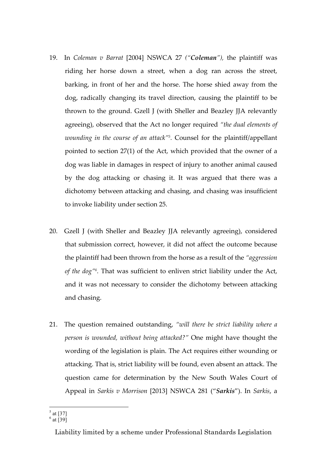- 19. In *Coleman v Barrat* [2004] NSWCA 27 *("Coleman"),* the plaintiff was riding her horse down a street, when a dog ran across the street, barking, in front of her and the horse. The horse shied away from the dog, radically changing its travel direction, causing the plaintiff to be thrown to the ground. Gzell J (with Sheller and Beazley JJA relevantly agreeing), observed that the Act no longer required *"the dual elements of wounding in the course of an attack"5 .* Counsel for the plaintiff/appellant pointed to section 27(1) of the Act, which provided that the owner of a dog was liable in damages in respect of injury to another animal caused by the dog attacking or chasing it. It was argued that there was a dichotomy between attacking and chasing, and chasing was insufficient to invoke liability under section 25.
- 20. Gzell J (with Sheller and Beazley JJA relevantly agreeing), considered that submission correct, however, it did not affect the outcome because the plaintiff had been thrown from the horse as a result of the *"aggression of the dog"6 .* That was sufficient to enliven strict liability under the Act, and it was not necessary to consider the dichotomy between attacking and chasing.
- 21. The question remained outstanding, *"will there be strict liability where a person is wounded, without being attacked?"* One might have thought the wording of the legislation is plain. The Act requires either wounding or attacking. That is, strict liability will be found, even absent an attack. The question came for determination by the New South Wales Court of Appeal in *Sarkis v Morrison* [2013] NSWCA 281 ("*Sarkis*"). In *Sarkis*, a

 $\frac{5}{5}$  at [37]

 $^6$  at [39]

Liability limited by a scheme under Professional Standards Legislation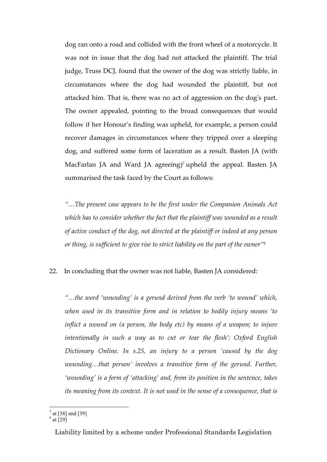dog ran onto a road and collided with the front wheel of a motorcycle. It was not in issue that the dog had not attacked the plaintiff. The trial judge, Truss DCJ, found that the owner of the dog was strictly liable, in circumstances where the dog had wounded the plaintiff, but not attacked him. That is, there was no act of aggression on the dog's part. The owner appealed, pointing to the broad consequences that would follow if her Honour's finding was upheld, for example, a person could recover damages in circumstances where they tripped over a sleeping dog, and suffered some form of laceration as a result. Basten JA (with MacFarlan JA and Ward JA agreeing)<sup>7</sup> upheld the appeal. Basten JA summarised the task faced by the Court as follows:

*"…The present case appears to be the first under the Companion Animals Act which has to consider whether the fact that the plaintiff was wounded as a result of active conduct of the dog, not directed at the plaintiff or indeed at any person or thing, is sufficient to give rise to strict liability on the part of the owner"8*

# 22. In concluding that the owner was not liable, Basten JA considered:

*"…the word 'wounding' is a gerund derived from the verb 'to wound' which, when used in its transitive form and in relation to bodily injury means 'to inflict a wound on (a person, the body etc) by means of a weapon; to injure intentionally in such a way as to cut or tear the flesh': Oxford English Dictionary Online. In s.25, an injury to a person 'caused by the dog wounding…that person' involves a transitive form of the gerund. Further, 'wounding' is a form of 'attacking' and, from its position in the sentence, takes its meaning from its context. It is not used in the sense of a consequence, that is* 

 $\frac{7}{1}$  at [38] and [39]

 $^8$  at [29]

Liability limited by a scheme under Professional Standards Legislation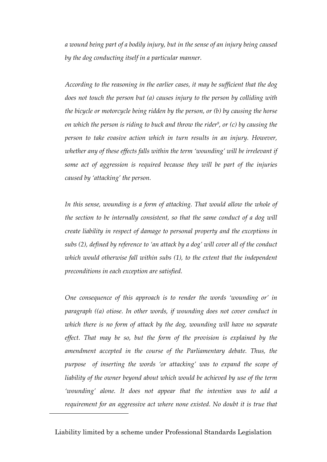*a wound being part of a bodily injury, but in the sense of an injury being caused by the dog conducting itself in a particular manner.*

*According to the reasoning in the earlier cases, it may be sufficient that the dog does not touch the person but (a) causes injury to the person by colliding with the bicycle or motorcycle being ridden by the person, or (b) by causing the horse on which the person is riding to buck and throw the rider<sup>9</sup>, or (c) by causing the person to take evasive action which in turn results in an injury. However, whether any of these effects falls within the term 'wounding' will be irrelevant if some act of aggression is required because they will be part of the injuries caused by 'attacking' the person.*

In this sense, wounding is a form of attacking. That would allow the whole of *the section to be internally consistent, so that the same conduct of a dog will create liability in respect of damage to personal property and the exceptions in subs (2), defined by reference to 'an attack by a dog' will cover all of the conduct which would otherwise fall within subs (1), to the extent that the independent preconditions in each exception are satisfied.*

*One consequence of this approach is to render the words 'wounding or' in paragraph ((a) otiose. In other words, if wounding does not cover conduct in which there is no form of attack by the dog, wounding will have no separate effect. That may be so, but the form of the provision is explained by the amendment accepted in the course of the Parliamentary debate. Thus, the purpose of inserting the words 'or attacking' was to expand the scope of liability of the owner beyond about which would be achieved by use of the term 'wounding' alone. It does not appear that the intention was to add a requirement for an aggressive act where none existed. No doubt it is true that* 

 $\overline{a}$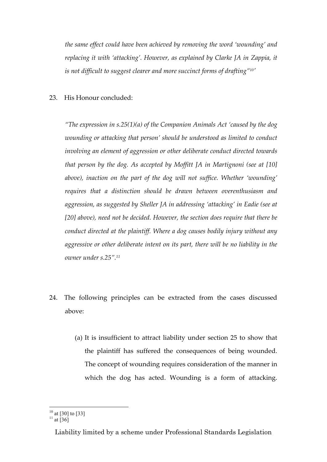*the same effect could have been achieved by removing the word 'wounding' and replacing it with 'attacking'. However, as explained by Clarke JA in Zappia, it is not difficult to suggest clearer and more succinct forms of drafting"10'*

## 23. His Honour concluded:

*"The expression in s.25(1)(a) of the Companion Animals Act 'caused by the dog wounding or attacking that person' should be understood as limited to conduct involving an element of aggression or other deliberate conduct directed towards that person by the dog. As accepted by Moffitt JA in Martignoni (see at [10] above), inaction on the part of the dog will not suffice. Whether 'wounding' requires that a distinction should be drawn between overenthusiasm and aggression, as suggested by Sheller JA in addressing 'attacking' in Eadie (see at [20] above), need not be decided. However, the section does require that there be conduct directed at the plaintiff. Where a dog causes bodily injury without any aggressive or other deliberate intent on its part, there will be no liability in the owner under s.25".11*

- 24. The following principles can be extracted from the cases discussed above:
	- (a) It is insufficient to attract liability under section 25 to show that the plaintiff has suffered the consequences of being wounded. The concept of wounding requires consideration of the manner in which the dog has acted. Wounding is a form of attacking.

 $\frac{10}{11}$  at [30] to [33]<br> $\frac{11}{11}$  at [36]

Liability limited by a scheme under Professional Standards Legislation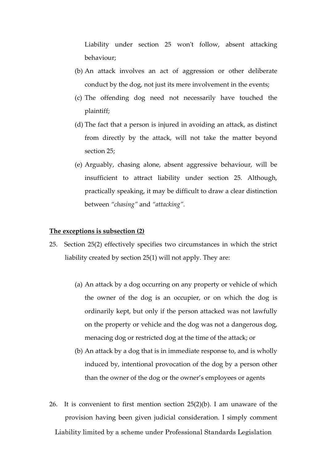Liability under section 25 won't follow, absent attacking behaviour;

- (b) An attack involves an act of aggression or other deliberate conduct by the dog, not just its mere involvement in the events;
- (c) The offending dog need not necessarily have touched the plaintiff;
- (d) The fact that a person is injured in avoiding an attack, as distinct from directly by the attack, will not take the matter beyond section 25;
- (e) Arguably, chasing alone, absent aggressive behaviour, will be insufficient to attract liability under section 25. Although, practically speaking, it may be difficult to draw a clear distinction between *"chasing"* and *"attacking".*

## **The exceptions is subsection (2)**

- 25. Section 25(2) effectively specifies two circumstances in which the strict liability created by section 25(1) will not apply. They are:
	- (a) An attack by a dog occurring on any property or vehicle of which the owner of the dog is an occupier, or on which the dog is ordinarily kept, but only if the person attacked was not lawfully on the property or vehicle and the dog was not a dangerous dog, menacing dog or restricted dog at the time of the attack; or
	- (b) An attack by a dog that is in immediate response to, and is wholly induced by, intentional provocation of the dog by a person other than the owner of the dog or the owner's employees or agents
- Liability limited by a scheme under Professional Standards Legislation 26. It is convenient to first mention section 25(2)(b). I am unaware of the provision having been given judicial consideration. I simply comment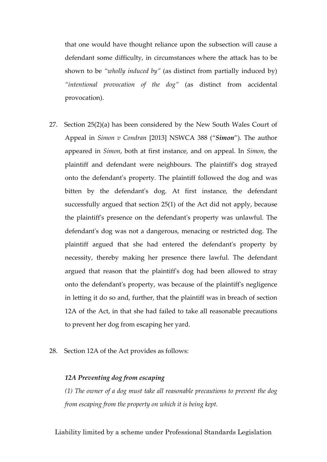that one would have thought reliance upon the subsection will cause a defendant some difficulty, in circumstances where the attack has to be shown to be *"wholly induced by"* (as distinct from partially induced by) *"intentional provocation of the dog"* (as distinct from accidental provocation).

- 27. Section 25(2)(a) has been considered by the New South Wales Court of Appeal in *Simon v Condran* [2013] NSWCA 388 ("*Simon*"). The author appeared in *Simon*, both at first instance, and on appeal. In *Simon*, the plaintiff and defendant were neighbours. The plaintiff's dog strayed onto the defendant's property. The plaintiff followed the dog and was bitten by the defendant's dog. At first instance, the defendant successfully argued that section 25(1) of the Act did not apply, because the plaintiff's presence on the defendant's property was unlawful. The defendant's dog was not a dangerous, menacing or restricted dog. The plaintiff argued that she had entered the defendant's property by necessity, thereby making her presence there lawful. The defendant argued that reason that the plaintiff's dog had been allowed to stray onto the defendant's property, was because of the plaintiff's negligence in letting it do so and, further, that the plaintiff was in breach of section 12A of the Act, in that she had failed to take all reasonable precautions to prevent her dog from escaping her yard.
- 28. Section 12A of the Act provides as follows:

### *12A Preventing dog from escaping*

*(1) The owner of a dog must take all reasonable precautions to prevent the dog from escaping from the property on which it is being kept.*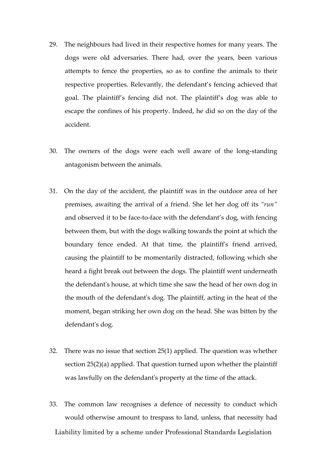- 29. The neighbours had lived in their respective homes for many years. The dogs were old adversaries. There had, over the years, been various attempts to fence the properties, so as to confine the animals to their respective properties. Relevantly, the defendant's fencing achieved that goal. The plaintiff's fencing did not. The plaintiff's dog was able to escape the confines of his property. Indeed, he did so on the day of the accident.
- 30. The owners of the dogs were each well aware of the long-standing antagonism between the animals.
- 31. On the day of the accident, the plaintiff was in the outdoor area of her premises, awaiting the arrival of a friend. She let her dog off its *"run"* and observed it to be face-to-face with the defendant's dog, with fencing between them, but with the dogs walking towards the point at which the boundary fence ended. At that time, the plaintiff's friend arrived, causing the plaintiff to be momentarily distracted, following which she heard a fight break out between the dogs. The plaintiff went underneath the defendant's house, at which time she saw the head of her own dog in the mouth of the defendant's dog. The plaintiff, acting in the heat of the moment, began striking her own dog on the head. She was bitten by the defendant's dog.
- 32. There was no issue that section 25(1) applied. The question was whether section 25(2)(a) applied. That question turned upon whether the plaintiff was lawfully on the defendant's property at the time of the attack.
- Liability limited by a scheme under Professional Standards Legislation 33. The common law recognises a defence of necessity to conduct which would otherwise amount to trespass to land, unless, that necessity had